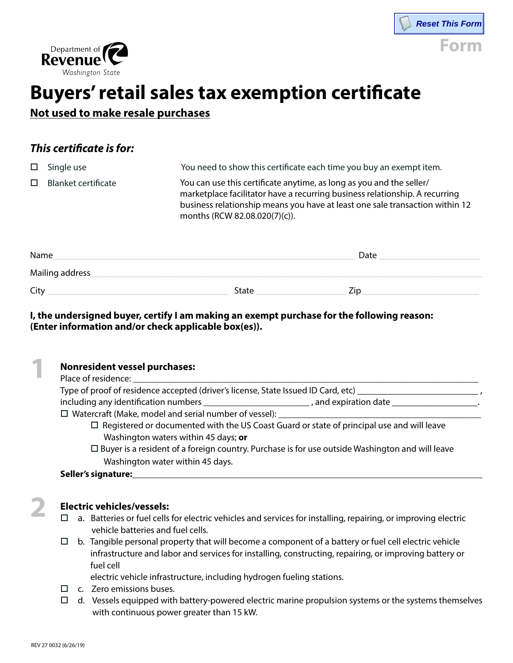



## **Buyers' retail sales tax exemption certificate**

**Not used to make resale purchases**

### *This certificate is for:*

| $\Box$ | Single use                 | You need to show this certificate each time you buy an exempt item.                                                                                                                                                                                                  |
|--------|----------------------------|----------------------------------------------------------------------------------------------------------------------------------------------------------------------------------------------------------------------------------------------------------------------|
| $\Box$ | <b>Blanket certificate</b> | You can use this certificate anytime, as long as you and the seller/<br>marketplace facilitator have a recurring business relationship. A recurring<br>business relationship means you have at least one sale transaction within 12<br>months (RCW 82.08.020(7)(c)). |
|        |                            |                                                                                                                                                                                                                                                                      |

| Name             | Date         |     |
|------------------|--------------|-----|
| Mailing address_ |              |     |
| City             | <b>State</b> | 7ir |

#### **I, the undersigned buyer, certify I am making an exempt purchase for the following reason: (Enter information and/or check applicable box(es)).**

|  | <b>Nonresident vessel purchases:</b><br>Place of residence:<br>Type of proof of residence accepted (driver's license, State Issued ID Card, etc)                                                                                                                                                                                                                                                                         |  |  |  |  |
|--|--------------------------------------------------------------------------------------------------------------------------------------------------------------------------------------------------------------------------------------------------------------------------------------------------------------------------------------------------------------------------------------------------------------------------|--|--|--|--|
|  |                                                                                                                                                                                                                                                                                                                                                                                                                          |  |  |  |  |
|  | including any identification numbers example and expiration date resources in the set of the set of the set of                                                                                                                                                                                                                                                                                                           |  |  |  |  |
|  | $\square$ Watercraft (Make, model and serial number of vessel): $\square$<br>$\Box$ Registered or documented with the US Coast Guard or state of principal use and will leave<br>Washington waters within 45 days; or<br>$\Box$ Buyer is a resident of a foreign country. Purchase is for use outside Washington and will leave<br>Washington water within 45 days.<br>Seller's signature:<br><u>Seller's signature:</u> |  |  |  |  |
|  |                                                                                                                                                                                                                                                                                                                                                                                                                          |  |  |  |  |
|  |                                                                                                                                                                                                                                                                                                                                                                                                                          |  |  |  |  |
|  |                                                                                                                                                                                                                                                                                                                                                                                                                          |  |  |  |  |
|  |                                                                                                                                                                                                                                                                                                                                                                                                                          |  |  |  |  |
|  |                                                                                                                                                                                                                                                                                                                                                                                                                          |  |  |  |  |
|  |                                                                                                                                                                                                                                                                                                                                                                                                                          |  |  |  |  |
|  | <b>Electric vehicles/vessels:</b>                                                                                                                                                                                                                                                                                                                                                                                        |  |  |  |  |
|  | a. Batteries or fuel cells for electric vehicles and services for installing, repairing, or improving electric<br>П<br>vehicle batteries and fuel cells.                                                                                                                                                                                                                                                                 |  |  |  |  |

 $\Box$  b. Tangible personal property that will become a component of a battery or fuel cell electric vehicle infrastructure and labor and services for installing, constructing, repairing, or improving battery or fuel cell

electric vehicle infrastructure, including hydrogen fueling stations.

- $\Box$  c. Zero emissions buses.
- $\Box$  d. Vessels equipped with battery-powered electric marine propulsion systems or the systems themselves with continuous power greater than 15 kW.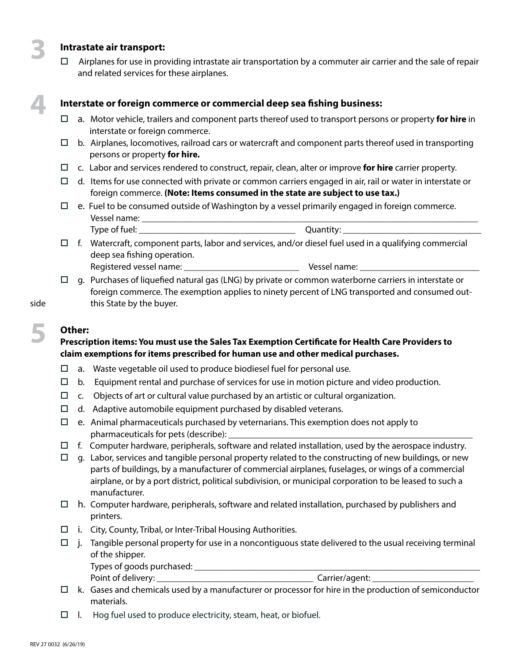#### **3 Intrastate air transport:**

 $\Box$  Airplanes for use in providing intrastate air transportation by a commuter air carrier and the sale of repair and related services for these airplanes.

# **4**

#### **Interstate or foreign commerce or commercial deep sea fishing business:**

- □ a. Motor vehicle, trailers and component parts thereof used to transport persons or property **for hire** in interstate or foreign commerce.
- $\Box$  b. Airplanes, locomotives, railroad cars or watercraft and component parts thereof used in transporting persons or property **for hire.**
- $\Box$  c. Labor and services rendered to construct, repair, clean, alter or improve **for hire** carrier property.
- $\Box$  d. Items for use connected with private or common carriers engaged in air, rail or water in interstate or foreign commerce. **(Note: Items consumed in the state are subject to use tax.)**
- $\Box$  e. Fuel to be consumed outside of Washington by a vessel primarily engaged in foreign commerce. Vessel name: \_\_\_\_\_\_\_\_\_\_\_\_\_\_\_\_\_\_\_\_\_\_\_\_\_\_\_\_\_\_\_\_\_\_\_\_\_\_\_\_\_\_\_\_\_\_\_\_\_\_\_\_\_\_\_\_\_\_\_\_\_\_\_\_\_\_\_\_\_\_\_\_\_
	- Type of fuel: \_\_\_\_\_\_\_\_\_\_\_\_\_\_\_\_\_\_\_\_\_\_\_\_\_\_\_\_\_\_\_\_\_\_ Quantity: \_\_\_\_\_\_\_\_\_\_\_\_\_\_\_\_\_\_\_\_\_\_\_\_\_\_\_\_\_\_
- $\Box$  f. Watercraft, component parts, labor and services, and/or diesel fuel used in a qualifying commercial deep sea fishing operation. Registered vessel name: \_\_\_\_\_\_\_\_\_\_\_\_\_\_\_\_\_\_\_\_\_\_\_\_\_ Vessel name: \_\_\_\_\_\_\_\_\_\_\_\_\_\_\_\_\_\_\_\_\_\_\_\_\_\_
- $\Box$  g. Purchases of liquefied natural gas (LNG) by private or common waterborne carriers in interstate or foreign commerce. The exemption applies to ninety percent of LNG transported and consumed outside this State by the buyer.

**5**

#### **Other:**

#### **Prescription items: You must use the Sales Tax Exemption Certificate for Health Care Providers to claim exemptions for items prescribed for human use and other medical purchases.**

- $\Box$  a. Waste vegetable oil used to produce biodiesel fuel for personal use.
- $\Box$  b. Equipment rental and purchase of services for use in motion picture and video production.
- $\Box$  c. Objects of art or cultural value purchased by an artistic or cultural organization.
- $\Box$  d. Adaptive automobile equipment purchased by disabled veterans.
- $\Box$  e. Animal pharmaceuticals purchased by veternarians. This exemption does not apply to pharmaceuticals for pets (describe):
- $\Box$  f. Computer hardware, peripherals, software and related installation, used by the aerospace industry.
- $\Box$  g. Labor, services and tangible personal property related to the constructing of new buildings, or new parts of buildings, by a manufacturer of commercial airplanes, fuselages, or wings of a commercial airplane, or by a port district, political subdivision, or municipal corporation to be leased to such a manufacturer.
- $\Box$  h. Computer hardware, peripherals, software and related installation, purchased by publishers and printers.
- $\Box$  i. City, County, Tribal, or Inter-Tribal Housing Authorities.
- $\Box$  j. Tangible personal property for use in a noncontiguous state delivered to the usual receiving terminal of the shipper.

Types of goods purchased: \_\_\_\_\_\_\_\_\_\_\_\_\_\_\_\_\_\_\_\_\_\_\_\_\_\_\_\_\_\_\_\_\_\_\_\_\_\_\_\_\_\_\_\_\_\_\_\_\_\_\_\_\_\_\_\_\_\_\_\_\_\_

Point of delivery: \_\_\_\_\_\_\_\_\_\_\_\_\_\_\_\_\_\_\_\_\_\_\_\_\_\_\_\_\_\_\_\_\_\_ Carrier/agent: \_\_\_\_\_\_\_\_\_\_\_\_\_\_\_\_\_\_\_\_\_\_

- $\Box$  k. Gases and chemicals used by a manufacturer or processor for hire in the production of semiconductor materials.
- $\Box$  I. Hog fuel used to produce electricity, steam, heat, or biofuel.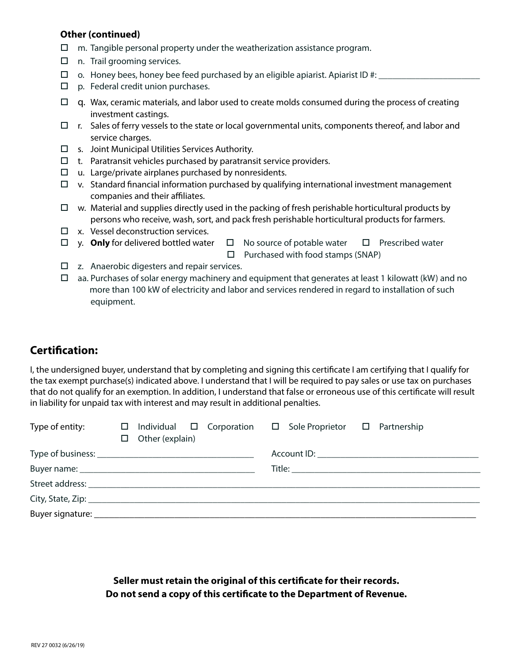#### **Other (continued)**

- $\Box$  m. Tangible personal property under the weatherization assistance program.
- $\Box$  n. Trail grooming services.
- $\Box$  o. Honey bees, honey bee feed purchased by an eligible apiarist. Apiarist ID #:
- $\Box$  p. Federal credit union purchases.
- $\Box$  q. Wax, ceramic materials, and labor used to create molds consumed during the process of creating investment castings.
- $\Box$  r. Sales of ferry vessels to the state or local governmental units, components thereof, and labor and service charges.
- $\square$  s. Joint Municipal Utilities Services Authority.
- $\Box$  t. Paratransit vehicles purchased by paratransit service providers.
- $\Box$  u. Large/private airplanes purchased by nonresidents.
- $\Box$  v. Standard financial information purchased by qualifying international investment management companies and their affiliates.
- $\Box$  w. Material and supplies directly used in the packing of fresh perishable horticultural products by persons who receive, wash, sort, and pack fresh perishable horticultural products for farmers.
- $\Box$  x. Vessel deconstruction services.
- $\Box$  y. **Only** for delivered bottled water  $\Box$  No source of potable water  $\Box$  Prescribed water

 $\Box$  Purchased with food stamps (SNAP)

- $\Box$  z. Anaerobic digesters and repair services.
- $\Box$  aa. Purchases of solar energy machinery and equipment that generates at least 1 kilowatt (kW) and no more than 100 kW of electricity and labor and services rendered in regard to installation of such equipment.

#### **Certification:**

I, the undersigned buyer, understand that by completing and signing this certificate I am certifying that I qualify for the tax exempt purchase(s) indicated above. I understand that I will be required to pay sales or use tax on purchases that do not qualify for an exemption. In addition, I understand that false or erroneous use of this certificate will result in liability for unpaid tax with interest and may result in additional penalties.

| Type of entity: | $\Box$ Other (explain)                                                                                                                                                                                                         | $\Box$ Individual $\Box$ Corporation $\Box$ Sole Proprietor $\Box$ Partnership |  |  |  |
|-----------------|--------------------------------------------------------------------------------------------------------------------------------------------------------------------------------------------------------------------------------|--------------------------------------------------------------------------------|--|--|--|
|                 |                                                                                                                                                                                                                                |                                                                                |  |  |  |
|                 |                                                                                                                                                                                                                                |                                                                                |  |  |  |
|                 | Street address: The contract of the contract of the contract of the contract of the contract of the contract of the contract of the contract of the contract of the contract of the contract of the contract of the contract o |                                                                                |  |  |  |
|                 |                                                                                                                                                                                                                                |                                                                                |  |  |  |
|                 |                                                                                                                                                                                                                                |                                                                                |  |  |  |

**Seller must retain the original of this certificate for their records. Do not send a copy of this certificate to the Department of Revenue.**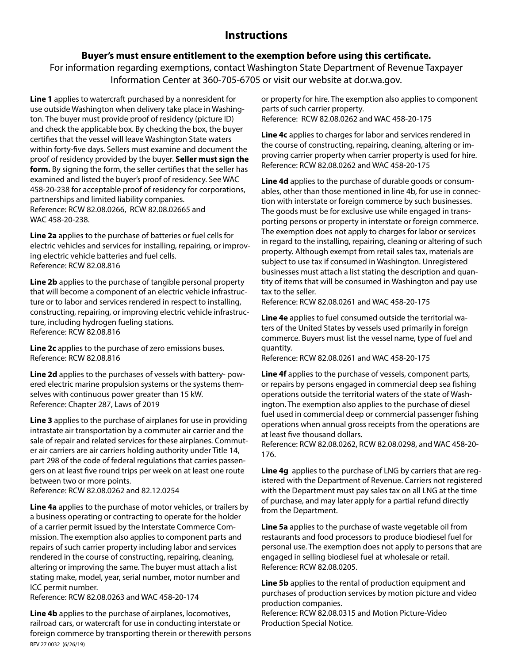#### **Instructions**

#### **Buyer's must ensure entitlement to the exemption before using this certificate.**

For information regarding exemptions, contact Washington State Department of Revenue Taxpayer Information Center at 360-705-6705 or visit our website at dor.wa.gov.

**Line 1** applies to watercraft purchased by a nonresident for use outside Washington when delivery take place in Washington. The buyer must provide proof of residency (picture ID) and check the applicable box. By checking the box, the buyer certifies that the vessel will leave Washington State waters within forty-five days. Sellers must examine and document the proof of residency provided by the buyer. **Seller must sign the form.** By signing the form, the seller certifies that the seller has examined and listed the buyer's proof of residency. See WAC 458-20-238 for acceptable proof of residency for corporations, partnerships and limited liability companies. Reference: RCW 82.08.0266, RCW 82.08.02665 and WAC 458-20-238.

**Line 2a** applies to the purchase of batteries or fuel cells for electric vehicles and services for installing, repairing, or improving electric vehicle batteries and fuel cells. Reference: RCW 82.08.816

**Line 2b** applies to the purchase of tangible personal property that will become a component of an electric vehicle infrastructure or to labor and services rendered in respect to installing, constructing, repairing, or improving electric vehicle infrastructure, including hydrogen fueling stations. Reference: RCW 82.08.816

**Line 2c** applies to the purchase of zero emissions buses. Reference: RCW 82.08.816

**Line 2d** applies to the purchases of vessels with battery- powered electric marine propulsion systems or the systems themselves with continuous power greater than 15 kW. Reference: Chapter 287, Laws of 2019

**Line 3** applies to the purchase of airplanes for use in providing intrastate air transportation by a commuter air carrier and the sale of repair and related services for these airplanes. Commuter air carriers are air carriers holding authority under Title 14, part 298 of the code of federal regulations that carries passengers on at least five round trips per week on at least one route between two or more points.

Reference: RCW 82.08.0262 and 82.12.0254

**Line 4a** applies to the purchase of motor vehicles, or trailers by a business operating or contracting to operate for the holder of a carrier permit issued by the Interstate Commerce Commission. The exemption also applies to component parts and repairs of such carrier property including labor and services rendered in the course of constructing, repairing, cleaning, altering or improving the same. The buyer must attach a list stating make, model, year, serial number, motor number and ICC permit number.

Reference: RCW 82.08.0263 and WAC 458-20-174

REV 27 0032 (6/26/19) **Line 4b** applies to the purchase of airplanes, locomotives, railroad cars, or watercraft for use in conducting interstate or foreign commerce by transporting therein or therewith persons or property for hire. The exemption also applies to component parts of such carrier property. Reference: RCW 82.08.0262 and WAC 458-20-175

**Line 4c** applies to charges for labor and services rendered in the course of constructing, repairing, cleaning, altering or improving carrier property when carrier property is used for hire. Reference: RCW 82.08.0262 and WAC 458-20-175

**Line 4d** applies to the purchase of durable goods or consumables, other than those mentioned in line 4b, for use in connection with interstate or foreign commerce by such businesses. The goods must be for exclusive use while engaged in transporting persons or property in interstate or foreign commerce. The exemption does not apply to charges for labor or services in regard to the installing, repairing, cleaning or altering of such property. Although exempt from retail sales tax, materials are subject to use tax if consumed in Washington. Unregistered businesses must attach a list stating the description and quantity of items that will be consumed in Washington and pay use tax to the seller.

Reference: RCW 82.08.0261 and WAC 458-20-175

**Line 4e** applies to fuel consumed outside the territorial waters of the United States by vessels used primarily in foreign commerce. Buyers must list the vessel name, type of fuel and quantity.

Reference: RCW 82.08.0261 and WAC 458-20-175

**Line 4f** applies to the purchase of vessels, component parts, or repairs by persons engaged in commercial deep sea fishing operations outside the territorial waters of the state of Washington. The exemption also applies to the purchase of diesel fuel used in commercial deep or commercial passenger fishing operations when annual gross receipts from the operations are at least five thousand dollars.

Reference: RCW 82.08.0262, RCW 82.08.0298, and WAC 458-20- 176.

**Line 4g** applies to the purchase of LNG by carriers that are registered with the Department of Revenue. Carriers not registered with the Department must pay sales tax on all LNG at the time of purchase, and may later apply for a partial refund directly from the Department.

**Line 5a** applies to the purchase of waste vegetable oil from restaurants and food processors to produce biodiesel fuel for personal use. The exemption does not apply to persons that are engaged in selling biodiesel fuel at wholesale or retail. Reference: RCW 82.08.0205.

**Line 5b** applies to the rental of production equipment and purchases of production services by motion picture and video production companies.

Reference: RCW 82.08.0315 and Motion Picture-Video Production Special Notice.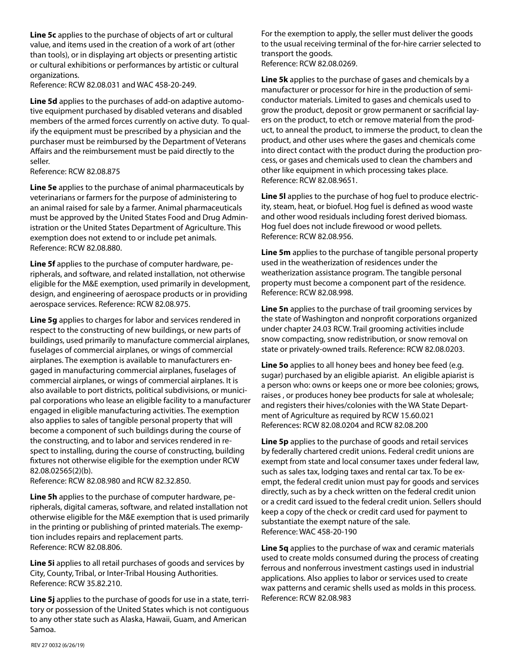**Line 5c** applies to the purchase of objects of art or cultural value, and items used in the creation of a work of art (other than tools), or in displaying art objects or presenting artistic or cultural exhibitions or performances by artistic or cultural organizations.

Reference: RCW 82.08.031 and WAC 458-20-249.

**Line 5d** applies to the purchases of add-on adaptive automotive equipment purchased by disabled veterans and disabled members of the armed forces currently on active duty. To qualify the equipment must be prescribed by a physician and the purchaser must be reimbursed by the Department of Veterans Affairs and the reimbursement must be paid directly to the seller.

Reference: RCW 82.08.875

**Line 5e** applies to the purchase of animal pharmaceuticals by veterinarians or farmers for the purpose of administering to an animal raised for sale by a farmer. Animal pharmaceuticals must be approved by the United States Food and Drug Administration or the United States Department of Agriculture. This exemption does not extend to or include pet animals. Reference: RCW 82.08.880.

**Line 5f** applies to the purchase of computer hardware, peripherals, and software, and related installation, not otherwise eligible for the M&E exemption, used primarily in development, design, and engineering of aerospace products or in providing aerospace services. Reference: RCW 82.08.975.

**Line 5g** applies to charges for labor and services rendered in respect to the constructing of new buildings, or new parts of buildings, used primarily to manufacture commercial airplanes, fuselages of commercial airplanes, or wings of commercial airplanes. The exemption is available to manufacturers engaged in manufacturing commercial airplanes, fuselages of commercial airplanes, or wings of commercial airplanes. It is also available to port districts, political subdivisions, or municipal corporations who lease an eligible facility to a manufacturer engaged in eligible manufacturing activities. The exemption also applies to sales of tangible personal property that will become a component of such buildings during the course of the constructing, and to labor and services rendered in respect to installing, during the course of constructing, building fixtures not otherwise eligible for the exemption under RCW 82.08.02565(2)(b).

Reference: RCW 82.08.980 and RCW 82.32.850.

**Line 5h** applies to the purchase of computer hardware, peripherals, digital cameras, software, and related installation not otherwise eligible for the M&E exemption that is used primarily in the printing or publishing of printed materials. The exemption includes repairs and replacement parts. Reference: RCW 82.08.806.

**Line 5i** applies to all retail purchases of goods and services by City, County, Tribal, or Inter-Tribal Housing Authorities. Reference: RCW 35.82.210.

Line 5j applies to the purchase of goods for use in a state, territory or possession of the United States which is not contiguous to any other state such as Alaska, Hawaii, Guam, and American Samoa.

For the exemption to apply, the seller must deliver the goods to the usual receiving terminal of the for-hire carrier selected to transport the goods. Reference: RCW 82.08.0269.

**Line 5k** applies to the purchase of gases and chemicals by a manufacturer or processor for hire in the production of semiconductor materials. Limited to gases and chemicals used to grow the product, deposit or grow permanent or sacrificial layers on the product, to etch or remove material from the product, to anneal the product, to immerse the product, to clean the product, and other uses where the gases and chemicals come into direct contact with the product during the production process, or gases and chemicals used to clean the chambers and other like equipment in which processing takes place. Reference: RCW 82.08.9651.

**Line 5l** applies to the purchase of hog fuel to produce electricity, steam, heat, or biofuel. Hog fuel is defined as wood waste and other wood residuals including forest derived biomass. Hog fuel does not include firewood or wood pellets. Reference: RCW 82.08.956.

**Line 5m** applies to the purchase of tangible personal property used in the weatherization of residences under the weatherization assistance program. The tangible personal property must become a component part of the residence. Reference: RCW 82.08.998.

**Line 5n** applies to the purchase of trail grooming services by the state of Washington and nonprofit corporations organized under chapter 24.03 RCW. Trail grooming activities include snow compacting, snow redistribution, or snow removal on state or privately-owned trails. Reference: RCW 82.08.0203.

**Line 5o** applies to all honey bees and honey bee feed (e.g. sugar) purchased by an eligible apiarist. An eligible apiarist is a person who: owns or keeps one or more bee colonies; grows, raises , or produces honey bee products for sale at wholesale; and registers their hives/colonies with the WA State Department of Agriculture as required by RCW 15.60.021 References: RCW 82.08.0204 and RCW 82.08.200

**Line 5p** applies to the purchase of goods and retail services by federally chartered credit unions. Federal credit unions are exempt from state and local consumer taxes under federal law, such as sales tax, lodging taxes and rental car tax. To be exempt, the federal credit union must pay for goods and services directly, such as by a check written on the federal credit union or a credit card issued to the federal credit union. Sellers should keep a copy of the check or credit card used for payment to substantiate the exempt nature of the sale. Reference: WAC 458-20-190

**Line 5q** applies to the purchase of wax and ceramic materials used to create molds consumed during the process of creating ferrous and nonferrous investment castings used in industrial applications. Also applies to labor or services used to create wax patterns and ceramic shells used as molds in this process. Reference: RCW 82.08.983